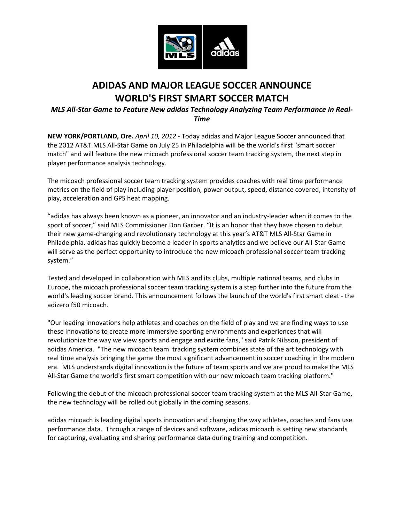

## **ADIDAS AND MAJOR LEAGUE SOCCER ANNOUNCE WORLD'S FIRST SMART SOCCER MATCH**

## *MLS All-Star Game to Feature New adidas Technology Analyzing Team Performance in Real-Time*

**NEW YORK/PORTLAND, Ore.** *April 10, 2012* - Today adidas and Major League Soccer announced that the 2012 AT&T MLS All-Star Game on July 25 in Philadelphia will be the world's first "smart soccer match" and will feature the new micoach professional soccer team tracking system, the next step in player performance analysis technology.

The micoach professional soccer team tracking system provides coaches with real time performance metrics on the field of play including player position, power output, speed, distance covered, intensity of play, acceleration and GPS heat mapping.

"adidas has always been known as a pioneer, an innovator and an industry-leader when it comes to the sport of soccer," said MLS Commissioner Don Garber. "It is an honor that they have chosen to debut their new game-changing and revolutionary technology at this year's AT&T MLS All-Star Game in Philadelphia. adidas has quickly become a leader in sports analytics and we believe our All-Star Game will serve as the perfect opportunity to introduce the new micoach professional soccer team tracking system."

Tested and developed in collaboration with MLS and its clubs, multiple national teams, and clubs in Europe, the micoach professional soccer team tracking system is a step further into the future from the world's leading soccer brand. This announcement follows the launch of the world's first smart cleat - the adizero f50 micoach.

"Our leading innovations help athletes and coaches on the field of play and we are finding ways to use these innovations to create more immersive sporting environments and experiences that will revolutionize the way we view sports and engage and excite fans," said Patrik Nilsson, president of adidas America. "The new micoach team tracking system combines state of the art technology with real time analysis bringing the game the most significant advancement in soccer coaching in the modern era. MLS understands digital innovation is the future of team sports and we are proud to make the MLS All-Star Game the world's first smart competition with our new micoach team tracking platform."

Following the debut of the micoach professional soccer team tracking system at the MLS All-Star Game, the new technology will be rolled out globally in the coming seasons.

adidas micoach is leading digital sports innovation and changing the way athletes, coaches and fans use performance data. Through a range of devices and software, adidas micoach is setting new standards for capturing, evaluating and sharing performance data during training and competition.